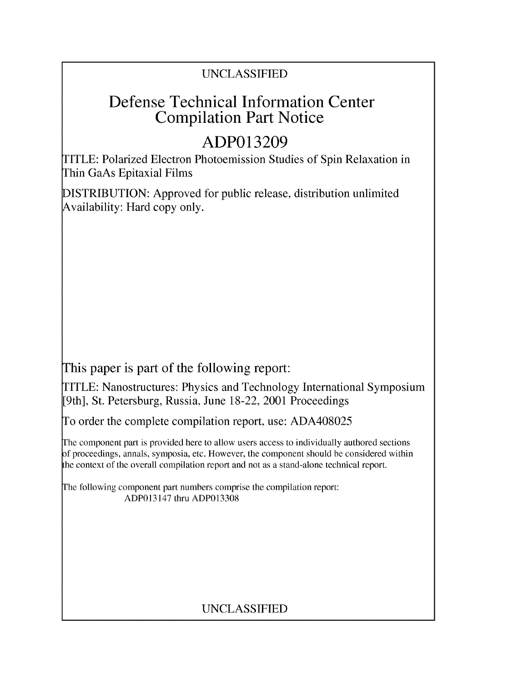### UNCLASSIFIED

## Defense Technical Information Center Compilation Part Notice

# **ADP013209**

TITLE: Polarized Electron Photoemission Studies of Spin Relaxation in Thin GaAs Epitaxial Films

DISTRIBUTION: Approved for public release, distribution unlimited Availability: Hard copy only.

This paper is part of the following report:

TITLE: Nanostructures: Physics and Technology International Symposium [9th], St. Petersburg, Russia, June 18-22, 2001 Proceedings

To order the complete compilation report, use: ADA408025

The component part is provided here to allow users access to individually authored sections f proceedings, annals, symposia, etc. However, the component should be considered within the context of the overall compilation report and not as a stand-alone technical report.

The following component part numbers comprise the compilation report: ADP013147 thru ADP013308

## UNCLASSIFIED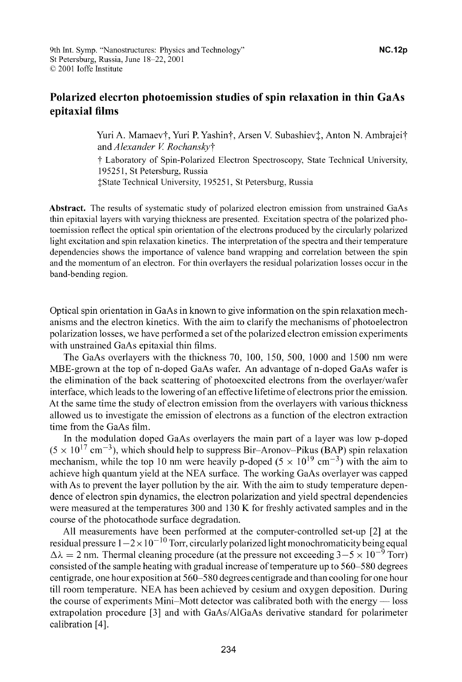### Polarized eleerton photoemission studies of spin relaxation in thin GaAs epitaxial films

Yuri A. Mamaev†, Yuri P. Yashin†, Arsen V. Subashiev‡, Anton N. Ambrajei† *and Alexander V RochanskyT*

t Laboratory of Spin-Polarized Electron Spectroscopy, State Technical University, 195251, St Petersburg, Russia

IState Technical University, 195251, St Petersburg, Russia

Abstract. The results of systematic study of polarized electron emission from unstrained GaAs thin epitaxial layers with varying thickness are presented. Excitation spectra of the polarized photoemission reflect the optical spin orientation of the electrons produced by the circularly polarized light excitation and spin relaxation kinetics. The interpretation of the spectra and their temperature dependencies shows the importance of valence band wrapping and correlation between the spin and the momentum of an electron. For thin overlayers the residual polarization losses occur in the band-bending region.

Optical spin orientation in GaAs in known to give information on the spin relaxation mechanisms and the electron kinetics. With the aim to clarify the mechanisms of photoelectron polarization losses, we have performed a set of the polarized electron emission experiments with unstrained GaAs epitaxial thin films.

The GaAs overlayers with the thickness 70, 100, 150, 500, 1000 and 1500 nm were MBE-grown at the top of n-doped GaAs wafer. An advantage of n-doped GaAs wafer is the elimination of the back scattering of photoexcited electrons from the overlayer/wafer interface, which leads to the lowering of an effective lifetime of electrons prior the emission. At the same time the study of electron emission from the overlayers with various thickness allowed us to investigate the emission of electrons as a function of the electron extraction time from the GaAs film.

In the modulation doped GaAs overlayers the main part of a layer was low p-doped  $(5 \times 10^{17} \text{ cm}^{-3})$ , which should help to suppress Bir-Aronov-Pikus (BAP) spin relaxation mechanism, while the top 10 nm were heavily p-doped  $(5 \times 10^{19} \text{ cm}^{-3})$  with the aim to achieve high quantum yield at the NEA surface. The working GaAs overlayer was capped with As to prevent the layer pollution by the air. With the aim to study temperature dependence of electron spin dynamics, the electron polarization and yield spectral dependencies were measured at the temperatures 300 and 130 K for freshly activated samples and in the course of the photocathode surface degradation.

All measurements have been performed at the computer-controlled set-up [2] at the residual pressure  $1-2 \times 10^{-10}$  Torr, circularly polarized light monochromaticity being equal  $\Delta\lambda = 2$  nm. Thermal cleaning procedure (at the pressure not exceeding  $3-5 \times 10^{-9}$  Torr) consisted of the sample heating with gradual increase of temperature up to 560-580 degrees centigrade, one hour exposition at 560-580 degrees centigrade and than cooling for one hour till room temperature. NEA has been achieved by cesium and oxygen deposition. During the course of experiments Mini-Mott detector was calibrated both with the energy **-** loss extrapolation procedure **[3]** and with GaAs/AlGaAs derivative standard for polarimeter calibration [4].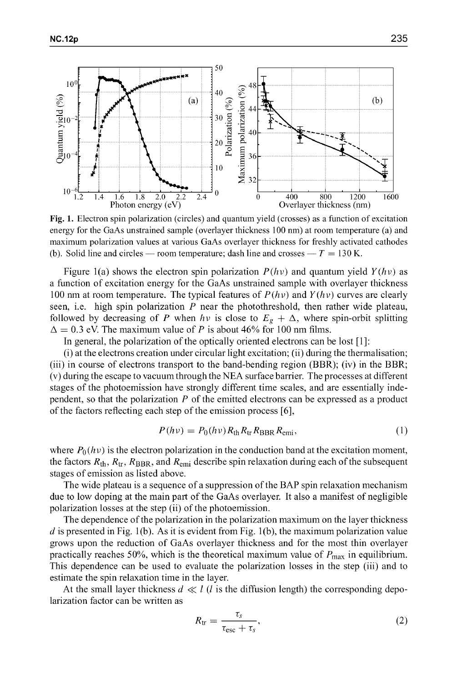

Fig. **1.** Electron spin polarization (circles) and quantum yield (crosses) as a function of excitation energy for the GaAs unstrained sample (overlayer thickness 100 nm) at room temperature (a) and maximum polarization values at various GaAs overlayer thickness for freshly activated cathodes (b). Solid line and circles — room temperature; dash line and crosses —  $T = 130$  K.

Figure 1(a) shows the electron spin polarization  $P(h\nu)$  and quantum yield  $Y(h\nu)$  as a function of excitation energy for the GaAs unstrained sample with overlayer thickness 100 nm at room temperature. The typical features of  $P(h\nu)$  and  $Y(h\nu)$  curves are clearly seen, i.e. high spin polarization  $P$  near the photothreshold, then rather wide plateau, followed by decreasing of P when  $h\nu$  is close to  $E_g + \Delta$ , where spin-orbit splitting  $\Delta = 0.3$  eV. The maximum value of P is about 46% for 100 nm films.

In general, the polarization of the optically oriented electrons can be lost **[1]:**

(i) at the electrons creation under circular light excitation; (ii) during the thermalisation; (iii) in course of electrons transport to the band-bending region (BBR); (iv) in the BBR; (v) during the escape to vacuum through the NEA surface barrier. The processes at different stages of the photoemission have strongly different time scales, and are essentially independent, so that the polarization  $P$  of the emitted electrons can be expressed as a product of the factors reflecting each step of the emission process **[6],**

$$
P(h\nu) = P_0(h\nu) R_{\text{th}} R_{\text{tr}} R_{\text{BBR}} R_{\text{emi}},
$$
\n(1)

where  $P_0(hv)$  is the electron polarization in the conduction band at the excitation moment, the factors  $R_{th}$ ,  $R_{tr}$ ,  $R_{BBR}$ , and  $R_{emi}$  describe spin relaxation during each of the subsequent stages of emission as listed above.

The wide plateau is a sequence of a suppression of the BAP spin relaxation mechanism due to low doping at the main part of the GaAs overlayer. It also a manifest of negligible polarization losses at the step (ii) of the photoemission.

The dependence of the polarization in the polarization maximum on the layer thickness *d* is presented in Fig. 1(b). As it is evident from Fig. 1(b), the maximum polarization value grows upon the reduction of GaAs overlayer thickness and for the most thin overlayer practically reaches 50%, which is the theoretical maximum value of  $P_{\text{max}}$  in equilibrium. This dependence can be used to evaluate the polarization losses in the step (iii) and to estimate the spin relaxation time in the layer.

At the small layer thickness  $d \ll l$  (*l* is the diffusion length) the corresponding depolarization factor can be written as

$$
R_{\rm tr} = \frac{\tau_s}{\tau_{\rm esc} + \tau_s},\tag{2}
$$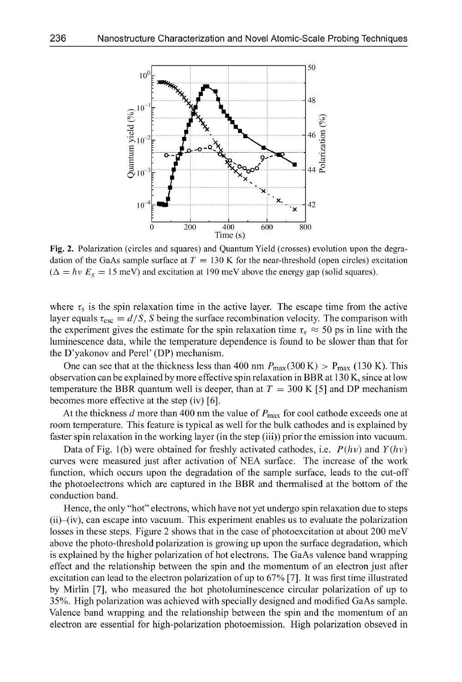

Fig. 2. Polarization (circles and squares) and Quantum Yield (crosses) evolution upon the degradation of the GaAs sample surface at  $T = 130$  K for the near-threshold (open circles) excitation  $(\Delta = h \nu E_g = 15 \text{ meV})$  and excitation at 190 meV above the energy gap (solid squares).

where  $\tau_s$  is the spin relaxation time in the active layer. The escape time from the active layer equals  $\tau_{\rm esc} = d/S$ , S being the surface recombination velocity. The comparison with the experiment gives the estimate for the spin relaxation time  $\tau_s \approx 50$  ps in line with the luminescence data, while the temperature dependence is found to be slower than that for the D'yakonov and Perel' (DP) mechanism.

One can see that at the thickness less than 400 nm  $P_{\text{max}}(300 \text{ K}) > P_{\text{max}}(130 \text{ K})$ . This observation can be explained by more effective spin relaxation in BBR at 130 K, since at low temperature the BBR quantum well is deeper, than at  $T = 300 \text{ K}$  [5] and DP mechanism becomes more effective at the step (iv) **[6].**

At the thickness d more than 400 nm the value of *Pmax* for cool cathode exceeds one at room temperature. This feature is typical as well for the bulk cathodes and is explained by faster spin relaxation in the working layer (in the step (iii)) prior the emission into vacuum.

Data of Fig. 1(b) were obtained for freshly activated cathodes, i.e.  $P(h\nu)$  and  $Y(h\nu)$ curves were measured just after activation of NEA surface. The increase of the work function, which occurs upon the degradation of the sample surface, leads to the cut-off the photoelectrons which are captured in the BBR and thermalised at the bottom of the conduction band.

Hence, the only "hot" electrons, which have not yet undergo spin relaxation due to steps (ii)-(iv), can escape into vacuum. This experiment enables us to evaluate the polarization losses in these steps. Figure 2 shows that in the case of photoexcitation at about 200 meV above the photo-threshold polarization is growing up upon the surface degradation, which is explained by the higher polarization of hot electrons. The GaAs valence band wrapping effect and the relationship between the spin and the momentum of an electron just after excitation can lead to the electron polarization of up to **67%** [7]. It was first time illustrated by Mirlin [7], who measured the hot photoluminescence circular polarization of up to **35%.** High polarization was achieved with specially designed and modified GaAs sample. Valence band wrapping and the relationship between the spin and the momentum of an electron are essential for high-polarization photoemission. High polarization obseved in